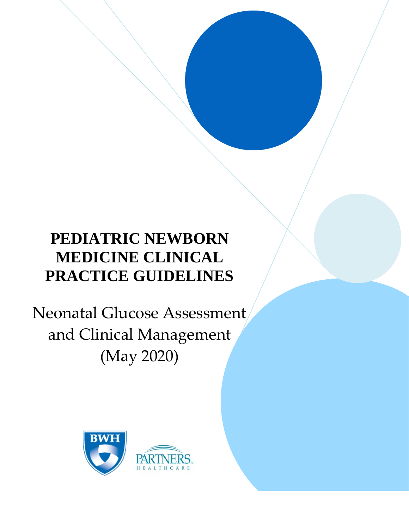# **PEDIATRIC NEWBORN MEDICINE CLINICAL PRACTICE GUIDELINES**

Neonatal Glucose Assessment and Clinical Management (May 2020)

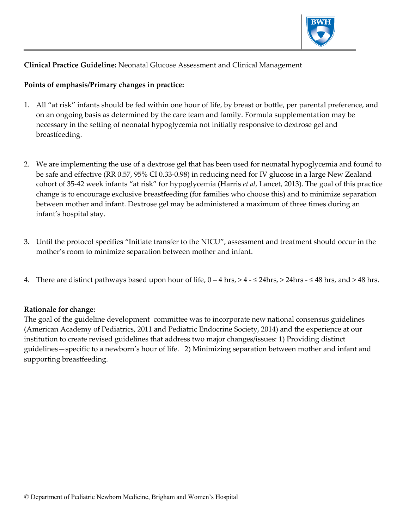

#### **Clinical Practice Guideline:** Neonatal Glucose Assessment and Clinical Management

#### **Points of emphasis/Primary changes in practice:**

- 1. All "at risk" infants should be fed within one hour of life, by breast or bottle, per parental preference, and on an ongoing basis as determined by the care team and family. Formula supplementation may be necessary in the setting of neonatal hypoglycemia not initially responsive to dextrose gel and breastfeeding.
- 2. We are implementing the use of a dextrose gel that has been used for neonatal hypoglycemia and found to be safe and effective (RR 0.57, 95% CI 0.33-0.98) in reducing need for IV glucose in a large New Zealand cohort of 35-42 week infants "at risk" for hypoglycemia (Harris *et al*, Lancet, 2013). The goal of this practice change is to encourage exclusive breastfeeding (for families who choose this) and to minimize separation between mother and infant. Dextrose gel may be administered a maximum of three times during an infant's hospital stay.
- 3. Until the protocol specifies "Initiate transfer to the NICU", assessment and treatment should occur in the mother's room to minimize separation between mother and infant.
- 4. There are distinct pathways based upon hour of life,  $0 4$  hrs,  $> 4 24$  hrs,  $> 24$  hrs  $48$  hrs, and  $> 48$  hrs.

#### **Rationale for change:**

The goal of the guideline development committee was to incorporate new national consensus guidelines (American Academy of Pediatrics, 2011 and Pediatric Endocrine Society, 2014) and the experience at our institution to create revised guidelines that address two major changes/issues: 1) Providing distinct guidelines—specific to a newborn's hour of life. 2) Minimizing separation between mother and infant and supporting breastfeeding.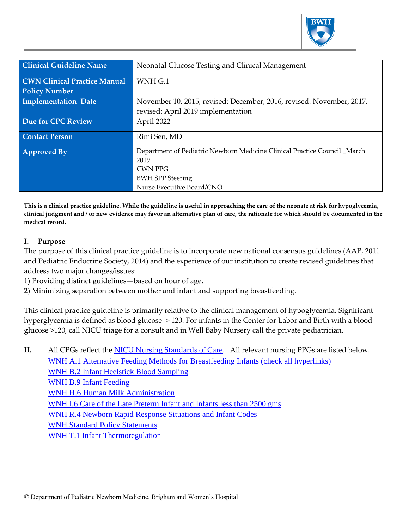

| <b>Clinical Guideline Name</b>      | Neonatal Glucose Testing and Clinical Management                         |
|-------------------------------------|--------------------------------------------------------------------------|
|                                     |                                                                          |
| <b>CWN Clinical Practice Manual</b> | WNH <sub>G.1</sub>                                                       |
| <b>Policy Number</b>                |                                                                          |
| <b>Implementation Date</b>          | November 10, 2015, revised: December, 2016, revised: November, 2017,     |
|                                     | revised: April 2019 implementation                                       |
| <b>Due for CPC Review</b>           | April 2022                                                               |
| <b>Contact Person</b>               | Rimi Sen, MD                                                             |
| <b>Approved By</b>                  | Department of Pediatric Newborn Medicine Clinical Practice Council March |
|                                     | 2019                                                                     |
|                                     | <b>CWN PPG</b>                                                           |
|                                     | <b>BWH SPP Steering</b>                                                  |
|                                     | Nurse Executive Board/CNO                                                |

**This is a clinical practice guideline. While the guideline is useful in approaching the care of the neonate at risk for hypoglycemia, clinical judgment and / or new evidence may favor an alternative plan of care, the rationale for which should be documented in the medical record.**

#### **I. Purpose**

The purpose of this clinical practice guideline is to incorporate new national consensus guidelines (AAP, 2011 and Pediatric Endocrine Society, 2014) and the experience of our institution to create revised guidelines that address two major changes/issues:

- 1) Providing distinct guidelines—based on hour of age.
- 2) Minimizing separation between mother and infant and supporting breastfeeding.

This clinical practice guideline is primarily relative to the clinical management of hypoglycemia. Significant hyperglycemia is defined as blood glucose > 120. For infants in the Center for Labor and Birth with a blood glucose >120, call NICU triage for a consult and in Well Baby Nursery call the private pediatrician.

**II.** All CPGs reflect the [NICU Nursing Standards of Care.](http://www.bwhpikenotes.org/policies/Nursing/CWN_Clinical_Practice_Manual/NICU/NICU_Standards.pdf) All relevant nursing PPGs are listed below. [WNH A.1 Alternative Feeding Methods for Breastfeeding Infants \(check](http://hospitalpolicies.ellucid.com/documents/view/3234/3318/) all hyperlinks) [WNH B.2 Infant Heelstick Blood Sampling](http://hospitalpolicies.ellucid.com/documents/view/3242/3326/) [WNH B.9 Infant Feeding](http://hospitalpolicies.ellucid.com/documents/view/9605/12790/) [WNH H.6 Human Milk Administration](http://hospitalpolicies.ellucid.com/documents/view/3284/3368/) [WNH I.6 Care of the Late Preterm Infant and Infants less than 2500 gms](http://hospitalpolicies.ellucid.com/documents/view/3289/3373/) [WNH R.4 Newborn Rapid Response Situations and Infant Codes](http://hospitalpolicies.ellucid.com/documents/view/3308/3392/) [WNH Standard Policy Statements](http://hospitalpolicies.ellucid.com/documents/view/9474/12519/) [WNH T.1 Infant Thermoregulation](http://hospitalpolicies.ellucid.com/documents/view/3316/3400/)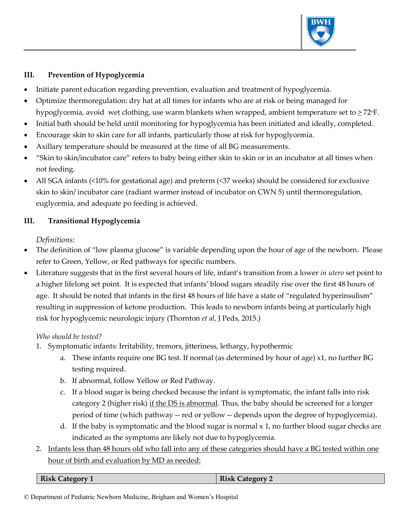

## **III. Prevention of Hypoglycemia**

- Initiate parent education regarding prevention, evaluation and treatment of hypoglycemia.
- Optimize thermoregulation: dry hat at all times for infants who are at risk or being managed for hypoglycemia, avoid wet clothing, use warm blankets when wrapped, ambient temperature set to  $\geq$  72°F.
- Initial bath should be held until monitoring for hypoglycemia has been initiated and ideally, completed.
- Encourage skin to skin care for all infants, particularly those at risk for hypoglycemia.
- Axillary temperature should be measured at the time of all BG measurements.
- "Skin to skin/incubator care" refers to baby being either skin to skin or in an incubator at all times when not feeding.
- All SGA infants (<10% for gestational age) and preterm (<37 weeks) should be considered for exclusive skin to skin/ incubator care (radiant warmer instead of incubator on CWN 5) until thermoregulation, euglycemia, and adequate po feeding is achieved.

#### **III. Transitional Hypoglycemia**

## *Definitions:*

- The definition of "low plasma glucose" is variable depending upon the hour of age of the newborn. Please refer to Green, Yellow, or Red pathways for specific numbers.
- Literature suggests that in the first several hours of life, infant's transition from a lower *in utero* set point to a higher lifelong set point. It is expected that infants' blood sugars steadily rise over the first 48 hours of age. It should be noted that infants in the first 48 hours of life have a state of "regulated hyperinsulism" resulting in suppression of ketone production. This leads to newborn infants being at particularly high risk for hypoglycemic neurologic injury (Thornton *et al*, J Peds, 2015.)

#### *Who should be tested?*

- 1. Symptomatic infants: Irritability, tremors, jitteriness, lethargy, hypothermic
	- a. These infants require one BG test. If normal (as determined by hour of age) x1, no further BG testing required.
	- b. If abnormal, follow Yellow or Red Pathway.
	- c. If a blood sugar is being checked because the infant is symptomatic, the infant falls into risk category 2 (higher risk) if the DS is abnormal. Thus, the baby should be screened for a longer period of time (which pathway -- red or yellow -- depends upon the degree of hypoglycemia).
	- d. If the baby is symptomatic and the blood sugar is normal  $x$  1, no further blood sugar checks are indicated as the symptoms are likely not due to hypoglycemia.
- 2. Infants less than 48 hours old who fall into any of these categories should have a BG tested within one hour of birth and evaluation by MD as needed:

© Department of Pediatric Newborn Medicine, Brigham and Women's Hospital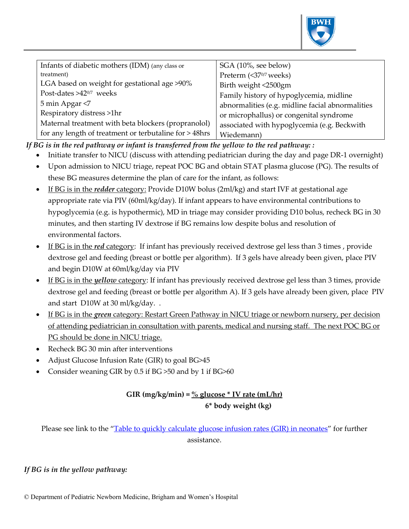

| Infants of diabetic mothers (IDM) (any class or        | SGA (10%, see below)                             |
|--------------------------------------------------------|--------------------------------------------------|
| treatment)                                             | Preterm (<370/7 weeks)                           |
| LGA based on weight for gestational age >90%           | Birth weight <2500gm                             |
| Post-dates >42 <sup>0/7</sup> weeks                    | Family history of hypoglycemia, midline          |
| 5 min Apgar <7                                         | abnormalities (e.g. midline facial abnormalities |
| Respiratory distress >1hr                              | or microphallus) or congenital syndrome          |
| Maternal treatment with beta blockers (propranolol)    | associated with hypoglycemia (e.g. Beckwith      |
| for any length of treatment or terbutaline for > 48hrs | Wiedemann)                                       |

*If BG is in the red pathway or infant is transferred from the yellow to the red pathway: :*

- Initiate transfer to NICU (discuss with attending pediatrician during the day and page DR-1 overnight)
- Upon admission to NICU triage, repeat POC BG and obtain STAT plasma glucose (PG). The results of these BG measures determine the plan of care for the infant, as follows:
- If BG is in the *redder* category: Provide D10W bolus (2ml/kg) and start IVF at gestational age appropriate rate via PIV (60ml/kg/day). If infant appears to have environmental contributions to hypoglycemia (e.g. is hypothermic), MD in triage may consider providing D10 bolus, recheck BG in 30 minutes, and then starting IV dextrose if BG remains low despite bolus and resolution of environmental factors.
- If BG is in the *red* category: If infant has previously received dextrose gel less than 3 times , provide dextrose gel and feeding (breast or bottle per algorithm). If 3 gels have already been given, place PIV and begin D10W at 60ml/kg/day via PIV
- If BG is in the *yellow* category: If infant has previously received dextrose gel less than 3 times, provide dextrose gel and feeding (breast or bottle per algorithm A). If 3 gels have already been given, place PIV and start D10W at 30 ml/kg/day. .
- If BG is in the *green* category: Restart Green Pathway in NICU triage or newborn nursery, per decision of attending pediatrician in consultation with parents, medical and nursing staff. The next POC BG or PG should be done in NICU triage.
- Recheck BG 30 min after interventions
- Adjust Glucose Infusion Rate (GIR) to goal BG>45
- Consider weaning GIR by 0.5 if BG >50 and by 1 if BG>60

## **GIR (mg/kg/min) = % glucose \* IV rate (mL/hr) 6\* body weight (kg)**

Please see link to the "[Table to quickly calculate glucose infusion rates](http://www.readcube.com/articles/10.1038%2Fjp.2015.42) (GIR) in neonates" for further assistance.

#### *If BG is in the yellow pathway:*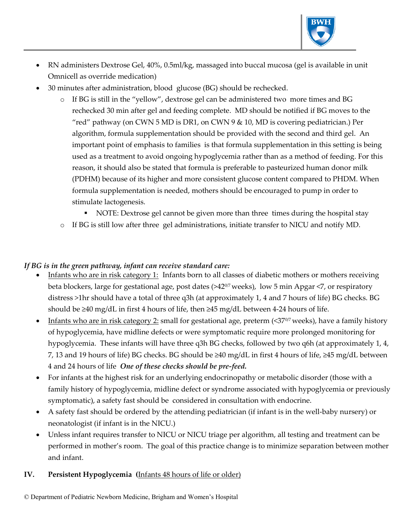

- RN administers Dextrose Gel, 40%, 0.5ml/kg, massaged into buccal mucosa (gel is available in unit Omnicell as override medication)
- 30 minutes after administration, blood glucose (BG) should be rechecked.
	- o If BG is still in the "yellow", dextrose gel can be administered two more times and BG rechecked 30 min after gel and feeding complete. MD should be notified if BG moves to the "red" pathway (on CWN 5 MD is DR1, on CWN 9  $\&$  10, MD is covering pediatrician.) Per algorithm, formula supplementation should be provided with the second and third gel. An important point of emphasis to families is that formula supplementation in this setting is being used as a treatment to avoid ongoing hypoglycemia rather than as a method of feeding. For this reason, it should also be stated that formula is preferable to pasteurized human donor milk (PDHM) because of its higher and more consistent glucose content compared to PHDM. When formula supplementation is needed, mothers should be encouraged to pump in order to stimulate lactogenesis.
		- NOTE: Dextrose gel cannot be given more than three times during the hospital stay
	- o If BG is still low after three gel administrations, initiate transfer to NICU and notify MD.

#### *If BG is in the green pathway, infant can receive standard care:*

- Infants who are in risk category 1: Infants born to all classes of diabetic mothers or mothers receiving beta blockers, large for gestational age, post dates (>42<sup>0/7</sup> weeks), low 5 min Apgar <7, or respiratory distress >1hr should have a total of three q3h (at approximately 1, 4 and 7 hours of life) BG checks. BG should be ≥40 mg/dL in first 4 hours of life, then ≥45 mg/dL between 4-24 hours of life.
- Infants who are in risk category 2: small for gestational age, preterm (<37%, weeks), have a family history of hypoglycemia, have midline defects or were symptomatic require more prolonged monitoring for hypoglycemia. These infants will have three q3h BG checks, followed by two q6h (at approximately 1, 4, 7, 13 and 19 hours of life) BG checks. BG should be ≥40 mg/dL in first 4 hours of life, ≥45 mg/dL between 4 and 24 hours of life *One of these checks should be pre-feed.*
- For infants at the highest risk for an underlying endocrinopathy or metabolic disorder (those with a family history of hypoglycemia, midline defect or syndrome associated with hypoglycemia or previously symptomatic), a safety fast should be considered in consultation with endocrine.
- A safety fast should be ordered by the attending pediatrician (if infant is in the well-baby nursery) or neonatologist (if infant is in the NICU.)
- Unless infant requires transfer to NICU or NICU triage per algorithm, all testing and treatment can be performed in mother's room. The goal of this practice change is to minimize separation between mother and infant.

#### **IV. Persistent Hypoglycemia (**Infants 48 hours of life or older)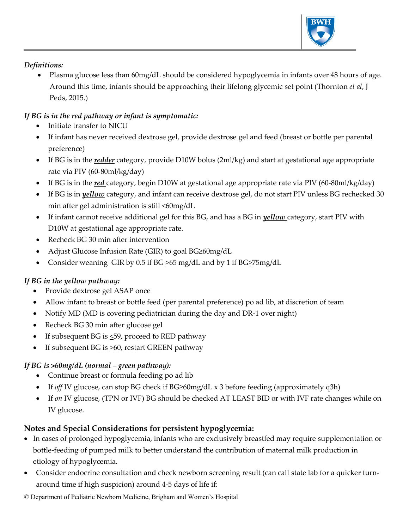

## *Definitions:*

• Plasma glucose less than 60mg/dL should be considered hypoglycemia in infants over 48 hours of age. Around this time, infants should be approaching their lifelong glycemic set point (Thornton *et al*, J Peds, 2015.)

# *If BG is in the red pathway or infant is symptomatic:*

- Initiate transfer to NICU
- If infant has never received dextrose gel, provide dextrose gel and feed (breast or bottle per parental preference)
- If BG is in the *redder* category, provide D10W bolus (2ml/kg) and start at gestational age appropriate rate via PIV (60-80ml/kg/day)
- If BG is in the *red* category, begin D10W at gestational age appropriate rate via PIV (60-80ml/kg/day)
- If BG is in *yellow* category, and infant can receive dextrose gel, do not start PIV unless BG rechecked 30 min after gel administration is still <60mg/dL
- If infant cannot receive additional gel for this BG, and has a BG in *yellow* category, start PIV with D10W at gestational age appropriate rate.
- Recheck BG 30 min after intervention
- Adjust Glucose Infusion Rate (GIR) to goal BG≥60mg/dL
- Consider weaning GIR by 0.5 if BG  $\geq$ 65 mg/dL and by 1 if BG $\geq$ 75mg/dL

# *If BG in the yellow pathway:*

- Provide dextrose gel ASAP once
- Allow infant to breast or bottle feed (per parental preference) po ad lib, at discretion of team
- Notify MD (MD is covering pediatrician during the day and DR-1 over night)
- Recheck BG 30 min after glucose gel
- If subsequent BG is  $\leq$ 59, proceed to RED pathway
- If subsequent BG is  $\geq 60$ , restart GREEN pathway

# *If BG is >60mg/dL (normal – green pathway):*

- Continue breast or formula feeding po ad lib
- If *off* IV glucose, can stop BG check if BG≥60mg/dL x 3 before feeding (approximately q3h)
- If *on* IV glucose, (TPN or IVF) BG should be checked AT LEAST BID or with IVF rate changes while on IV glucose.

# **Notes and Special Considerations for persistent hypoglycemia:**

- In cases of prolonged hypoglycemia, infants who are exclusively breastfed may require supplementation or bottle-feeding of pumped milk to better understand the contribution of maternal milk production in etiology of hypoglycemia.
- Consider endocrine consultation and check newborn screening result (can call state lab for a quicker turnaround time if high suspicion) around 4-5 days of life if:
- © Department of Pediatric Newborn Medicine, Brigham and Women's Hospital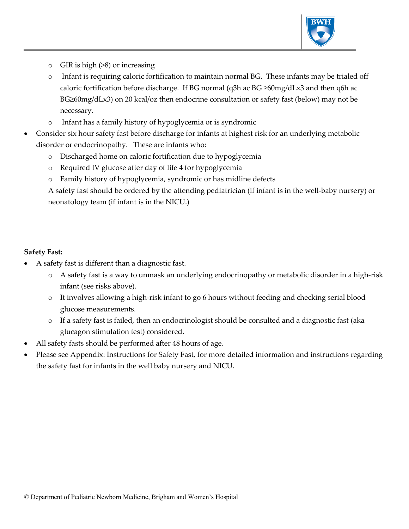

- o GIR is high (>8) or increasing
- o Infant is requiring caloric fortification to maintain normal BG. These infants may be trialed off caloric fortification before discharge. If BG normal (q3h ac BG ≥60mg/dLx3 and then q6h ac BG≥60mg/dLx3) on 20 kcal/oz then endocrine consultation or safety fast (below) may not be necessary.
- o Infant has a family history of hypoglycemia or is syndromic
- Consider six hour safety fast before discharge for infants at highest risk for an underlying metabolic disorder or endocrinopathy. These are infants who:
	- o Discharged home on caloric fortification due to hypoglycemia
	- o Required IV glucose after day of life 4 for hypoglycemia
	- o Family history of hypoglycemia, syndromic or has midline defects

A safety fast should be ordered by the attending pediatrician (if infant is in the well-baby nursery) or neonatology team (if infant is in the NICU.)

## **Safety Fast:**

- A safety fast is different than a diagnostic fast.
	- o A safety fast is a way to unmask an underlying endocrinopathy or metabolic disorder in a high-risk infant (see risks above).
	- o It involves allowing a high-risk infant to go 6 hours without feeding and checking serial blood glucose measurements.
	- o If a safety fast is failed, then an endocrinologist should be consulted and a diagnostic fast (aka glucagon stimulation test) considered.
- All safety fasts should be performed after 48 hours of age.
- Please see Appendix: Instructions for Safety Fast, for more detailed information and instructions regarding the safety fast for infants in the well baby nursery and NICU.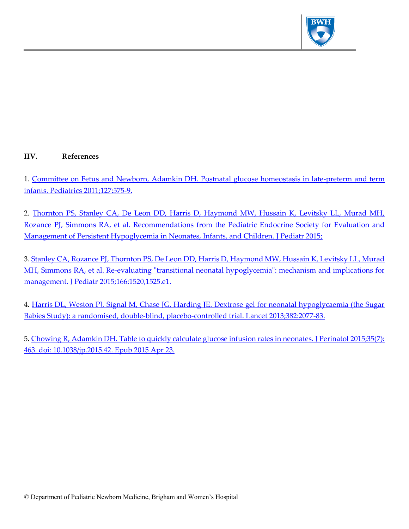

## **IIV. References**

1. [Committee on Fetus and Newborn, Adamkin DH. Postnatal glucose homeostasis in late-preterm and](http://pediatrics.aappublications.org/content/127/3/575.full.pdf+html) term [infants. Pediatrics 2011;127:575-9.](http://pediatrics.aappublications.org/content/127/3/575.full.pdf+html)

2. [Thornton PS, Stanley CA, De Leon DD, Harris D, Haymond MW, Hussain K, Levitsky LL, Murad MH,](http://www.sciencedirect.com/science/article/pii/S0022347615003583)  [Rozance PJ, Simmons RA, et al. Recommendations from the Pediatric Endocrine Society for Evaluation and](http://www.sciencedirect.com/science/article/pii/S0022347615003583)  [Management of Persistent Hypoglycemia in Neonates, Infants, and Children. J Pediatr 2015;](http://www.sciencedirect.com/science/article/pii/S0022347615003583)

3. Stanley CA, Rozance PJ, Thornton PS, De Leon DD, Harris D, Haymond MW, Hussain K, Levitsky LL, Murad [MH, Simmons RA, et al. Re-evaluating "transitional neonatal hypoglycemia": mechanism and implications for](http://www.sciencedirect.com/science/article/pii/S0022347615001651)  [management. J Pediatr 2015;166:1520,1525.e1.](http://www.sciencedirect.com/science/article/pii/S0022347615001651)

4. Harris DL, Weston PJ, Signal M, Chase JG, Harding JE. Dextrose gel for neonatal hypoglycaemia (the Sugar [Babies Study\): a randomised, double-blind, placebo-controlled trial. Lancet 2013;382:2077-83.](http://ir.canterbury.ac.nz/bitstream/10092/8846/2/Sugar%20Babies%20REVISED%2015May2013.pdf)

5[. Chowing R, Adamkin DH. Table to quickly calculate glucose infusion rates in neonates. J Perinatol 2015;35\(7\):](http://www.readcube.com/articles/10.1038%2Fjp.2015.42)  [463. doi: 10.1038/jp.2015.42. Epub 2015 Apr 23.](http://www.readcube.com/articles/10.1038%2Fjp.2015.42)